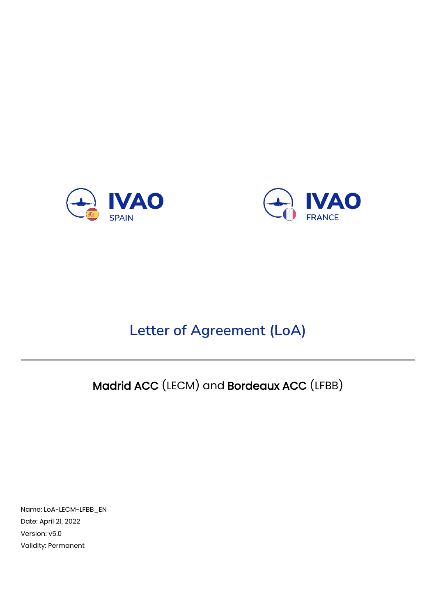



# **Letter of Agreement (LoA)**

# Madrid ACC (LECM) and Bordeaux ACC (LFBB)

Name: LoA-LECM-LFBB\_EN Date: April 21, 2022 Version: v5.0 Validity: Permanent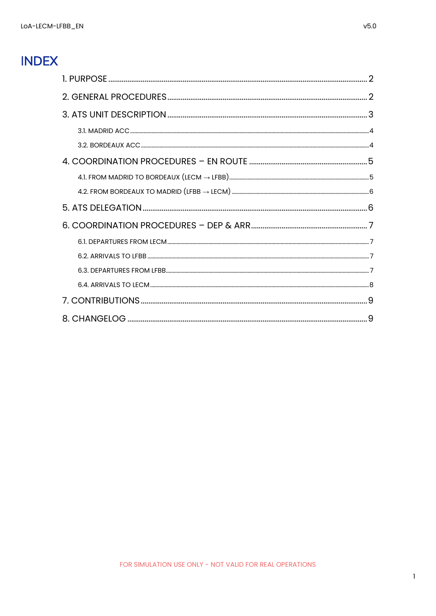### **INDEX**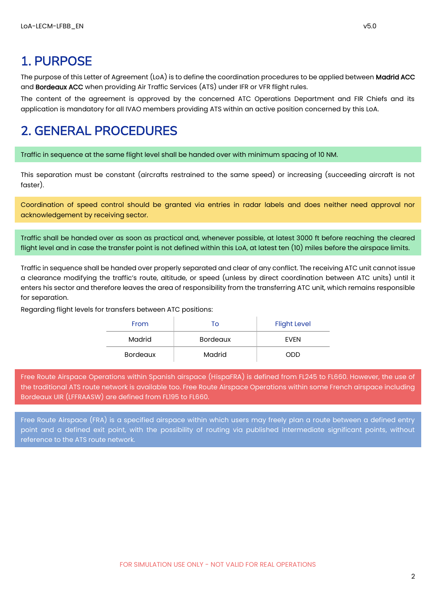### <span id="page-2-0"></span>1. PURPOSE

The purpose of this Letter of Agreement (LoA) is to define the coordination procedures to be applied between Madrid ACC and Bordeaux ACC when providing Air Traffic Services (ATS) under IFR or VFR flight rules.

The content of the agreement is approved by the concerned ATC Operations Department and FIR Chiefs and its application is mandatory for all IVAO members providing ATS within an active position concerned by this LoA.

### <span id="page-2-1"></span>2. GENERAL PROCEDURES

Traffic in sequence at the same flight level shall be handed over with minimum spacing of 10 NM.

This separation must be constant (aircrafts restrained to the same speed) or increasing (succeeding aircraft is not faster).

Coordination of speed control should be granted via entries in radar labels and does neither need approval nor acknowledgement by receiving sector.

Traffic shall be handed over as soon as practical and, whenever possible, at latest 3000 ft before reaching the cleared flight level and in case the transfer point is not defined within this LoA, at latest ten (10) miles before the airspace limits.

Traffic in sequence shall be handed over properly separated and clear of any conflict. The receiving ATC unit cannot issue a clearance modifying the traffic's route, altitude, or speed (unless by direct coordination between ATC units) until it enters his sector and therefore leaves the area of responsibility from the transferring ATC unit, which remains responsible for separation.

Regarding flight levels for transfers between ATC positions:

| From            | Τo              | <b>Flight Level</b> |
|-----------------|-----------------|---------------------|
| Madrid          | <b>Bordeaux</b> | <b>FVFN</b>         |
| <b>Bordeaux</b> | Madrid          | ODD                 |

Free Route Airspace Operations within Spanish airspace (HispaFRA) is defined from FL245 to FL660. However, the use of the traditional ATS route network is available too. Free Route Airspace Operations within some French airspace including Bordeaux UIR (LFFRAASW) are defined from FL195 to FL660.

Free Route Airspace (FRA) is a specified airspace within which users may freely plan a route between a defined entry point and a defined exit point, with the possibility of routing via published intermediate significant points, without reference to the ATS route network.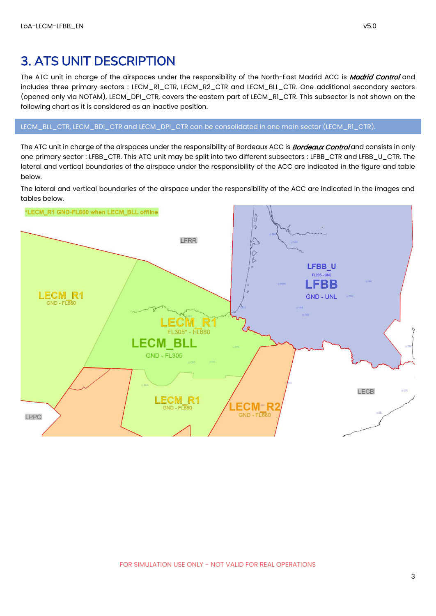### <span id="page-3-0"></span>3. ATS UNIT DESCRIPTION

The ATC unit in charge of the airspaces under the responsibility of the North-East Madrid ACC is Madrid Control and includes three primary sectors : LECM\_R1\_CTR, LECM\_R2\_CTR and LECM\_BLL\_CTR. One additional secondary sectors (opened only via NOTAM), LECM\_DPI\_CTR, covers the eastern part of LECM\_R1\_CTR. This subsector is not shown on the following chart as it is considered as an inactive position.

LECM\_BLL\_CTR, LECM\_BDI\_CTR and LECM\_DPI\_CTR can be consolidated in one main sector (LECM\_R1\_CTR).

The ATC unit in charge of the airspaces under the responsibility of Bordeaux ACC is **Bordeaux Control** and consists in only one primary sector : LFBB\_CTR. This ATC unit may be split into two different subsectors : LFBB\_CTR and LFBB\_U\_CTR. The lateral and vertical boundaries of the airspace under the responsibility of the ACC are indicated in the figure and table below.

The lateral and vertical boundaries of the airspace under the responsibility of the ACC are indicated in the images and tables below.

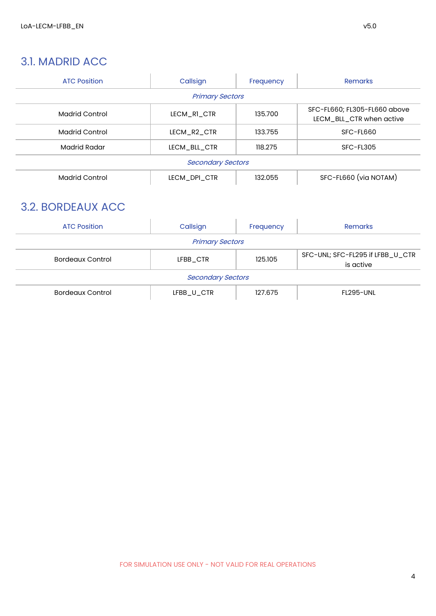#### <span id="page-4-0"></span>3.1. MADRID ACC

| <b>ATC Position</b>   | Callsign                 | Frequency | <b>Remarks</b>                                           |
|-----------------------|--------------------------|-----------|----------------------------------------------------------|
|                       | <b>Primary Sectors</b>   |           |                                                          |
| <b>Madrid Control</b> | LECM RI CTR              | 135.700   | SFC-FL660; FL305-FL660 above<br>LECM BLL CTR when active |
| Madrid Control        | LECM R <sub>2</sub> CTR  | 133.755   | SFC-FL660                                                |
| Madrid Radar          | LECM BLL CTR             | 118.275   | SFC-FL305                                                |
|                       | <b>Secondary Sectors</b> |           |                                                          |
| <b>Madrid Control</b> | LECM DPI CTR             | 132.055   | SFC-FL660 (via NOTAM)                                    |

### <span id="page-4-1"></span>3.2. BORDEAUX ACC

| <b>ATC Position</b>     | Callsign                 | Frequency | <b>Remarks</b>                                |
|-------------------------|--------------------------|-----------|-----------------------------------------------|
|                         | <b>Primary Sectors</b>   |           |                                               |
| <b>Bordeaux Control</b> | LFBB CTR                 | 125.105   | SFC-UNL; SFC-FL295 if LFBB_U_CTR<br>is active |
|                         | <b>Secondary Sectors</b> |           |                                               |
| <b>Bordeaux Control</b> | LFBB_U_CTR               | 127.675   | FL295-UNL                                     |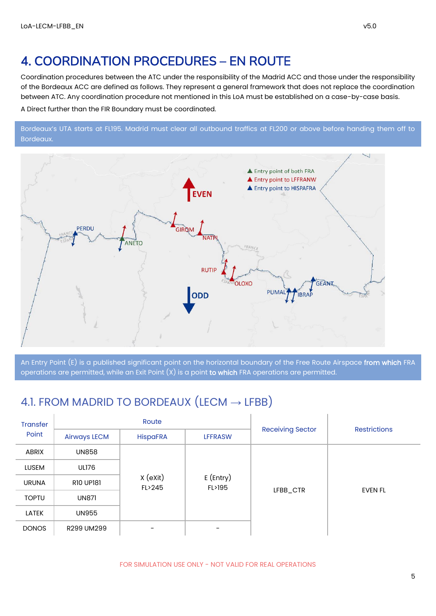### <span id="page-5-0"></span>4. COORDINATION PROCEDURES – EN ROUTE

Coordination procedures between the ATC under the responsibility of the Madrid ACC and those under the responsibility of the Bordeaux ACC are defined as follows. They represent a general framework that does not replace the coordination between ATC. Any coordination procedure not mentioned in this LoA must be established on a case-by-case basis. A Direct further than the FIR Boundary must be coordinated.

Bordeaux's UTA starts at FL195. Madrid must clear all outbound traffics at FL200 or above before handing them off to Bordeaux.



An Entry Point (E) is a published significant point on the horizontal boundary of the Free Route Airspace from which FRA operations are permitted, while an Exit Point (X) is a point to which FRA operations are permitted.

### <span id="page-5-1"></span>4.1. FROM MADRID TO BORDEAUX (LECM  $\rightarrow$  LFBB)

| <b>Transfer</b> |                     | Route                |                       |                         | <b>Restrictions</b> |
|-----------------|---------------------|----------------------|-----------------------|-------------------------|---------------------|
| Point           | <b>Airways LECM</b> | <b>HispaFRA</b>      | <b>LFFRASW</b>        | <b>Receiving Sector</b> |                     |
| ABRIX           | <b>UN858</b>        |                      |                       |                         |                     |
| <b>LUSEM</b>    | <b>UL176</b>        |                      |                       |                         |                     |
| <b>URUNA</b>    | <b>R10 UP181</b>    | $x$ (exit)<br>FL>245 | $E$ (Entry)<br>FL>195 |                         | <b>EVEN FL</b>      |
| <b>TOPTU</b>    | <b>UN871</b>        |                      |                       | LFBB_CTR                |                     |
| <b>LATEK</b>    | <b>UN955</b>        |                      |                       |                         |                     |
| <b>DONOS</b>    | R299 UM299          |                      |                       |                         |                     |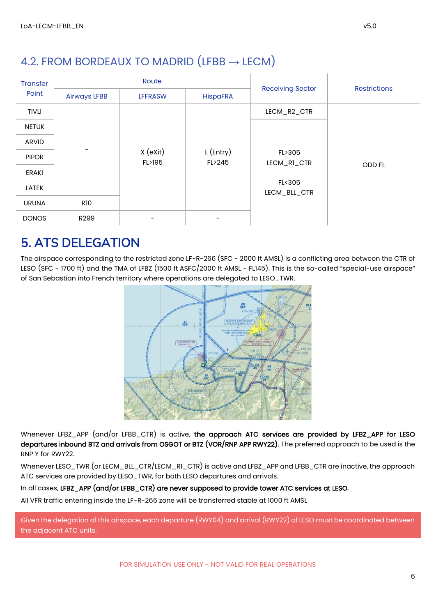### <span id="page-6-0"></span>4.2. FROM BORDEAUX TO MADRID (LFBB  $\rightarrow$  LECM)

| <b>Transfer</b> |                     | Route              |                       |                         | <b>Restrictions</b> |
|-----------------|---------------------|--------------------|-----------------------|-------------------------|---------------------|
| Point           | <b>Airways LFBB</b> | <b>LFFRASW</b>     | <b>HispaFRA</b>       | <b>Receiving Sector</b> |                     |
| <b>TIVLI</b>    |                     |                    |                       | LECM_R2_CTR             |                     |
| <b>NETUK</b>    |                     |                    |                       |                         |                     |
| ARVID           |                     |                    |                       |                         |                     |
| <b>PIPOR</b>    |                     | X (eXit)<br>FL>195 | $E$ (Entry)<br>FL>245 | FL>305<br>LECM_RI_CTR   | <b>ODD FL</b>       |
| ERAKI           |                     |                    |                       |                         |                     |
| LATEK           |                     |                    |                       | FL<305<br>LECM_BLL_CTR  |                     |
| <b>URUNA</b>    | R10                 |                    |                       |                         |                     |
| <b>DONOS</b>    | R <sub>299</sub>    |                    |                       |                         |                     |

### <span id="page-6-1"></span>5. ATS DELEGATION

The airspace corresponding to the restricted zone LF-R-266 (SFC - 2000 ft AMSL) is a conflicting area between the CTR of LESO (SFC - 1700 ft) and the TMA of LFBZ (1500 ft ASFC/2000 ft AMSL - FL145). This is the so-called "special-use airspace" of San Sebastian into French territory where operations are delegated to LESO\_TWR.



Whenever LFBZ\_APP (and/or LFBB\_CTR) is active, the approach ATC services are provided by LFBZ\_APP for LESO departures inbound BTZ and arrivals from OSGOT or BTZ (VOR/RNP APP RWY22). The preferred approach to be used is the RNP Y for RWY22.

Whenever LESO\_TWR (or LECM\_BLL\_CTR/LECM\_R1\_CTR) is active and LFBZ\_APP and LFBB\_CTR are inactive, the approach ATC services are provided by LESO\_TWR, for both LESO departures and arrivals.

#### In all cases, LFBZ\_APP (and/or LFBB\_CTR) are never supposed to provide tower ATC services at LESO.

All VFR traffic entering inside the LF-R-266 zone will be transferred stable at 1000 ft AMSL

Given the delegation of this airspace, each departure (RWY04) and arrival (RWY22) of LESO must be coordinated between the adjacent ATC units.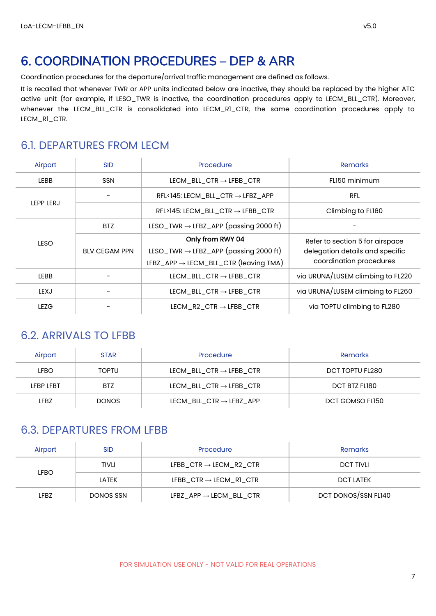### <span id="page-7-0"></span>6. COORDINATION PROCEDURES – DEP & ARR

Coordination procedures for the departure/arrival traffic management are defined as follows.

It is recalled that whenever TWR or APP units indicated below are inactive, they should be replaced by the higher ATC active unit (for example, if LESO\_TWR is inactive, the coordination procedures apply to LECM\_BLL\_CTR). Moreover, whenever the LECM\_BLL\_CTR is consolidated into LECM\_R1\_CTR, the same coordination procedures apply to LECM\_R1\_CTR.

#### <span id="page-7-1"></span>6.1. DEPARTURES FROM LECM

| Airport     | <b>SID</b>           | Procedure                                                                                                                  | <b>Remarks</b>                                                                                |
|-------------|----------------------|----------------------------------------------------------------------------------------------------------------------------|-----------------------------------------------------------------------------------------------|
| <b>LEBB</b> | <b>SSN</b>           | LECM BLL CTR $\rightarrow$ LFBB CTR                                                                                        | FLI50 minimum                                                                                 |
|             |                      | $RFL145: LECM_BLL_CTR \rightarrow LFBZ_APP$                                                                                | <b>RFL</b>                                                                                    |
| LEPP LERJ   |                      | $RFL>145$ : LECM_BLL_CTR $\rightarrow$ LFBB_CTR                                                                            | Climbing to FL160                                                                             |
|             | BTZ                  | LESO_TWR $\rightarrow$ LFBZ_APP (passing 2000 ft)                                                                          |                                                                                               |
| <b>LESO</b> | <b>BLV CEGAM PPN</b> | Only from RWY 04<br>LESO_TWR $\rightarrow$ LFBZ_APP (passing 2000 ft)<br>LFBZ_APP $\rightarrow$ LECM_BLL_CTR (leaving TMA) | Refer to section 5 for airspace<br>delegation details and specific<br>coordination procedures |
| <b>LEBB</b> |                      | LECM BLL CTR $\rightarrow$ LFBB CTR                                                                                        | via URUNA/LUSEM climbing to FL220                                                             |
| <b>LEXJ</b> |                      | LECM BLL CTR $\rightarrow$ LFBB CTR                                                                                        | via URUNA/LUSEM climbing to FL260                                                             |
| <b>LEZG</b> |                      | LECM $R2$ CTR $\rightarrow$ LFBB CTR                                                                                       | via TOPTU climbing to FL280                                                                   |

#### <span id="page-7-2"></span>6.2. ARRIVALS TO LFBB

| Airport     | <b>STAR</b>  | Procedure                           | Remarks         |
|-------------|--------------|-------------------------------------|-----------------|
| <b>LFBO</b> | <b>TOPTU</b> | LECM BLL CTR $\rightarrow$ LFBB CTR | DCT TOPTU FL280 |
| LFBP LFBT   | <b>BTZ</b>   | LECM BLL CTR $\rightarrow$ LFBB CTR | DCT BTZ FLI80   |
| LFBZ        | DONOS        | LECM BLL CTR $\rightarrow$ LFBZ APP | DCT GOMSO FLI50 |

#### <span id="page-7-3"></span>6.3. DEPARTURES FROM LFBB

| Airport | <b>SID</b>   | Procedure                           | Remarks             |
|---------|--------------|-------------------------------------|---------------------|
|         | <b>TIVLI</b> | LFBB CTR $\rightarrow$ LECM R2 CTR  | <b>DCT TIVLI</b>    |
| LFBO.   | LATEK        | LFBB $CTR \rightarrow LECM$ RI CTR  | <b>DCT LATEK</b>    |
| LFBZ    | DONOS SSN    | LFBZ $APP \rightarrow LECM$ BLL CTR | DCT DONOS/SSN FL140 |

FOR SIMULATION USE ONLY - NOT VALID FOR REAL OPERATIONS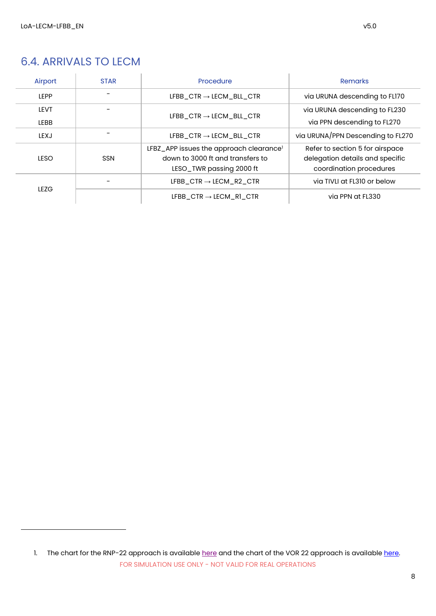### <span id="page-8-0"></span>6.4. ARRIVALS TO LECM

| Airport               | <b>STAR</b> | Procedure                                                                                                           | <b>Remarks</b>                                                                                |
|-----------------------|-------------|---------------------------------------------------------------------------------------------------------------------|-----------------------------------------------------------------------------------------------|
| <b>LEPP</b>           |             | LFBB CTR $\rightarrow$ LECM BLL CTR                                                                                 | via URUNA descending to FLI70                                                                 |
| I FVT.<br><b>LEBB</b> |             | LFBB $\Box$ CTR $\rightarrow$ LECM BLL CTR                                                                          | via URUNA descending to FL230<br>via PPN descending to FL270                                  |
| <b>IFXJ</b>           |             | LFBB $\Box$ CTR $\rightarrow$ LECM BLL CTR                                                                          | via URUNA/PPN Descending to FL270                                                             |
| IFSO.                 | <b>SSN</b>  | LFBZ_APP issues the approach clearance <sup>1</sup><br>down to 3000 ft and transfers to<br>LESO_TWR passing 2000 ft | Refer to section 5 for airspace<br>delegation details and specific<br>coordination procedures |
| <b>LEZG</b>           |             | LFBB CTR $\rightarrow$ LECM R2 CTR                                                                                  | via TIVLI at FL310 or below                                                                   |
|                       |             | LFBB CTR $\rightarrow$ LECM R1 CTR                                                                                  | via PPN at FL330                                                                              |

FOR SIMULATION USE ONLY - NOT VALID FOR REAL OPERATIONS 1. The chart for the RNP-22 approach is available [here](https://aip.enaire.es/AIP/contenido_AIP/AD/AD2/LESO/LE_AD_2_LESO_IAC_2_en.pdf) and the chart of the VOR 22 approach is availabl[e here.](https://aip.enaire.es/AIP/contenido_AIP/AD/AD2/LESO/LE_AD_2_LESO_IAC_1_en.pdf)